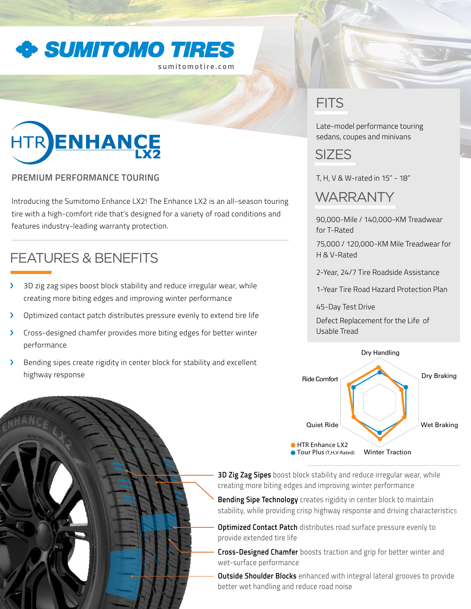

**sumitomotire.com**

# HTR ENHANCE

### **PREMIUM PERFORMANCE TOURING**

Introducing the Sumitomo Enhance LX2! The Enhance LX2 is an all-season touring tire with a high-comfort ride that's designed for a variety of road conditions and features industry-leading warranty protection.

## FEATURES & BENEFITS

- > 3D zig zag sipes boost block stability and reduce irregular wear, while creating more biting edges and improving winter performance
- > Optimized contact patch distributes pressure evenly to extend tire life
- > Cross-designed chamfer provides more biting edges for better winter performance
- > Bending sipes create rigidity in center block for stability and excellent highway response

## **FITS**

Late-model performance touring sedans, coupes and minivans



T, H, V & W-rated in 15" - 18"

## **WARRANTY**

90,000-Mile / 140,000-KM Treadwear for T-Rated

75,000 / 120,000-KM Mile Treadwear for H & V-Rated

2-Year, 24/7 Tire Roadside Assistance

1-Year Tire Road Hazard Protection Plan

45-Day Test Drive

Defect Replacement for the Life of Usable Tread



**3D Zig Zag Sipes** boost block stability and reduce irregular wear, while creating more biting edges and improving winter performance

**Bending Sipe Technology** creates rigidity in center block to maintain stability, while providing crisp highway response and driving characteristics

**Optimized Contact Patch** distributes road surface pressure evenly to provide extended tire life

**Cross-Designed Chamfer** boosts traction and grip for better winter and wet-surface performance

**Outside Shoulder Blocks** enhanced with integral lateral grooves to provide better wet handling and reduce road noise